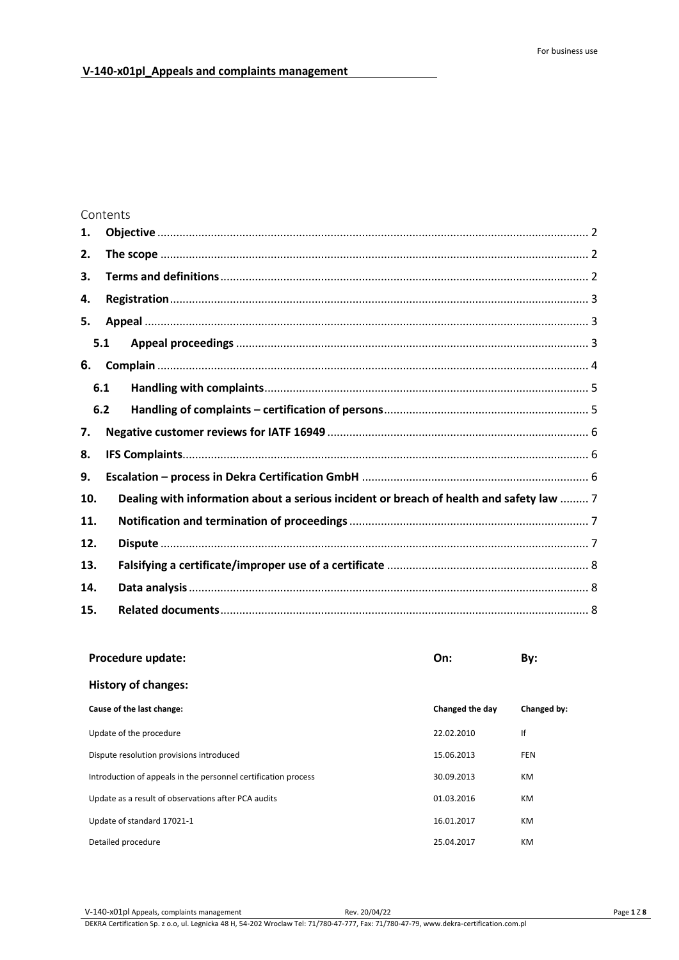# Contents

| 1.  |     |                                                                                         |  |  |  |  |
|-----|-----|-----------------------------------------------------------------------------------------|--|--|--|--|
| 2.  |     |                                                                                         |  |  |  |  |
| 3.  |     |                                                                                         |  |  |  |  |
| 4.  |     |                                                                                         |  |  |  |  |
| 5.  |     |                                                                                         |  |  |  |  |
|     | 5.1 |                                                                                         |  |  |  |  |
| 6.  |     |                                                                                         |  |  |  |  |
|     | 6.1 |                                                                                         |  |  |  |  |
|     | 6.2 |                                                                                         |  |  |  |  |
| 7.  |     |                                                                                         |  |  |  |  |
| 8.  |     |                                                                                         |  |  |  |  |
| 9.  |     |                                                                                         |  |  |  |  |
| 10. |     | Dealing with information about a serious incident or breach of health and safety law  7 |  |  |  |  |
| 11. |     |                                                                                         |  |  |  |  |
| 12. |     |                                                                                         |  |  |  |  |
| 13. |     |                                                                                         |  |  |  |  |
| 14. |     |                                                                                         |  |  |  |  |
| 15. |     |                                                                                         |  |  |  |  |

| Procedure update:                                              | On:             | By:         |  |  |  |
|----------------------------------------------------------------|-----------------|-------------|--|--|--|
| <b>History of changes:</b>                                     |                 |             |  |  |  |
| Cause of the last change:                                      | Changed the day | Changed by: |  |  |  |
| Update of the procedure                                        | 22.02.2010      | If          |  |  |  |
| Dispute resolution provisions introduced                       | 15.06.2013      | <b>FEN</b>  |  |  |  |
| Introduction of appeals in the personnel certification process | 30.09.2013      | <b>KM</b>   |  |  |  |
| Update as a result of observations after PCA audits            | 01.03.2016      | <b>KM</b>   |  |  |  |
| Update of standard 17021-1                                     | 16.01.2017      | <b>KM</b>   |  |  |  |
| Detailed procedure                                             | 25.04.2017      | KM.         |  |  |  |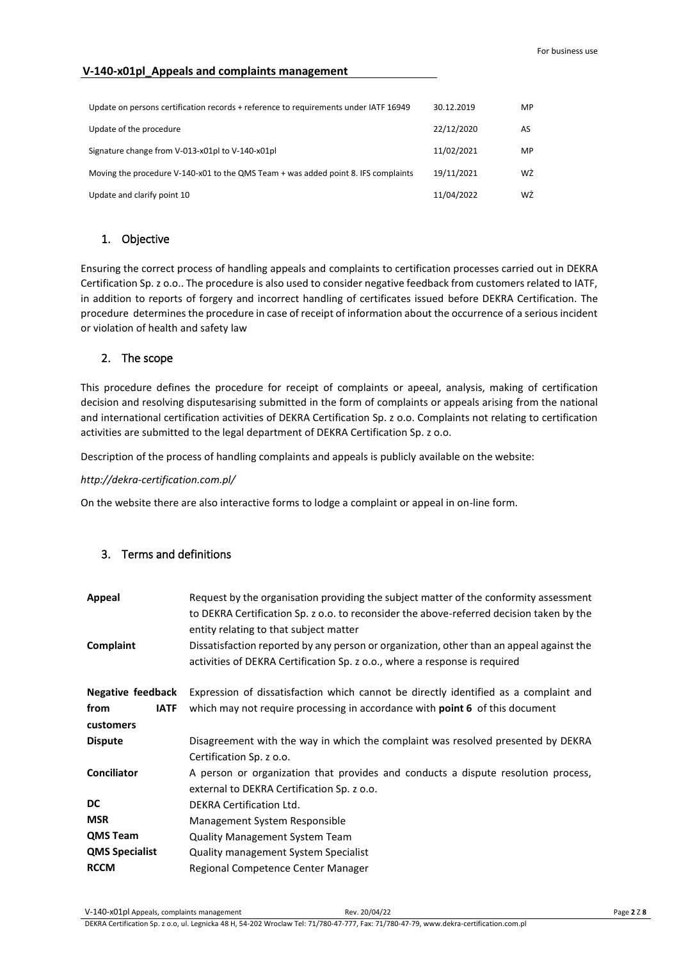| Update on persons certification records + reference to requirements under IATF 16949 | 30.12.2019 | MP |
|--------------------------------------------------------------------------------------|------------|----|
| Update of the procedure                                                              | 22/12/2020 | AS |
| Signature change from V-013-x01pl to V-140-x01pl                                     | 11/02/2021 | MP |
| Moving the procedure V-140-x01 to the QMS Team + was added point 8. IFS complaints   | 19/11/2021 | WŻ |
| Update and clarify point 10                                                          | 11/04/2022 | WŹ |

## <span id="page-1-0"></span>1. Objective

Ensuring the correct process of handling appeals and complaints to certification processes carried out in DEKRA Certification Sp. z o.o.. The procedure is also used to consider negative feedback from customers related to IATF, in addition to reports of forgery and incorrect handling of certificates issued before DEKRA Certification. The procedure determines the procedure in case of receipt of information about the occurrence of a serious incident or violation of health and safety law

### <span id="page-1-1"></span>2. The scope

This procedure defines the procedure for receipt of complaints or apeeal, analysis, making of certification decision and resolving disputesarising submitted in the form of complaints or appeals arising from the national and international certification activities of DEKRA Certification Sp. z o.o. Complaints not relating to certification activities are submitted to the legal department of DEKRA Certification Sp. z o.o.

Description of the process of handling complaints and appeals is publicly available on the website:

#### *http://dekra-certification.com.pl/*

On the website there are also interactive forms to lodge a complaint or appeal in on-line form.

## <span id="page-1-2"></span>3. Terms and definitions

| <b>Appeal</b>         | Request by the organisation providing the subject matter of the conformity assessment<br>to DEKRA Certification Sp. z o.o. to reconsider the above-referred decision taken by the<br>entity relating to that subject matter |  |  |
|-----------------------|-----------------------------------------------------------------------------------------------------------------------------------------------------------------------------------------------------------------------------|--|--|
| Complaint             | Dissatisfaction reported by any person or organization, other than an appeal against the<br>activities of DEKRA Certification Sp. z o.o., where a response is required                                                      |  |  |
| Negative feedback     | Expression of dissatisfaction which cannot be directly identified as a complaint and                                                                                                                                        |  |  |
| from<br><b>IATF</b>   | which may not require processing in accordance with <b>point 6</b> of this document                                                                                                                                         |  |  |
| customers             |                                                                                                                                                                                                                             |  |  |
| <b>Dispute</b>        | Disagreement with the way in which the complaint was resolved presented by DEKRA                                                                                                                                            |  |  |
|                       | Certification Sp. z o.o.                                                                                                                                                                                                    |  |  |
| <b>Conciliator</b>    | A person or organization that provides and conducts a dispute resolution process,                                                                                                                                           |  |  |
|                       | external to DEKRA Certification Sp. z o.o.                                                                                                                                                                                  |  |  |
| DC                    | <b>DEKRA Certification Ltd.</b>                                                                                                                                                                                             |  |  |
| <b>MSR</b>            | Management System Responsible                                                                                                                                                                                               |  |  |
| <b>QMS Team</b>       | <b>Quality Management System Team</b>                                                                                                                                                                                       |  |  |
| <b>QMS Specialist</b> | <b>Quality management System Specialist</b>                                                                                                                                                                                 |  |  |
| <b>RCCM</b>           | Regional Competence Center Manager                                                                                                                                                                                          |  |  |

DEKRA Certification Sp. z o.o, ul. Legnicka 48 H, 54-202 Wroclaw Tel: 71/780-47-777, Fax: 71/780-47-79, www.dekra-certification.com.pl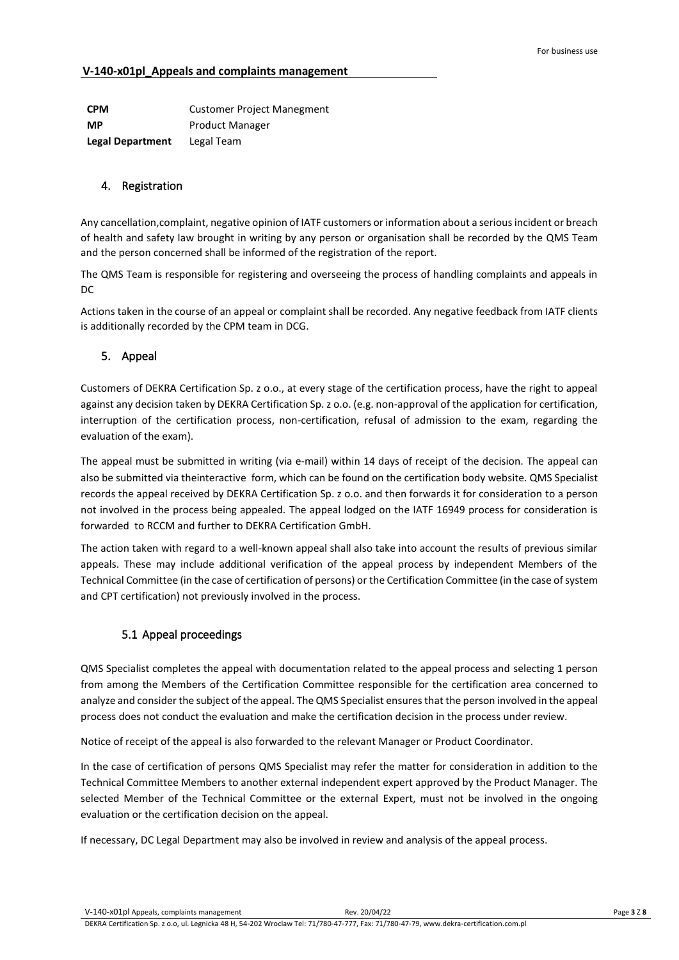| <b>CPM</b>              | <b>Customer Project Manegment</b> |
|-------------------------|-----------------------------------|
| <b>MP</b>               | <b>Product Manager</b>            |
| <b>Legal Department</b> | Legal Team                        |

### <span id="page-2-0"></span>4. Registration

Any cancellation,complaint, negative opinion of IATF customers or information about a serious incident or breach of health and safety law brought in writing by any person or organisation shall be recorded by the QMS Team and the person concerned shall be informed of the registration of the report.

The QMS Team is responsible for registering and overseeing the process of handling complaints and appeals in DC

Actions taken in the course of an appeal or complaint shall be recorded. Any negative feedback from IATF clients is additionally recorded by the CPM team in DCG.

## <span id="page-2-1"></span>5. Appeal

Customers of DEKRA Certification Sp. z o.o., at every stage of the certification process, have the right to appeal against any decision taken by DEKRA Certification Sp. z o.o. (e.g. non-approval of the application for certification, interruption of the certification process, non-certification, refusal of admission to the exam, regarding the evaluation of the exam).

The appeal must be submitted in writing (via e-mail) within 14 days of receipt of the decision. The appeal can also be submitted via theinteractive form, which can be found on the certification body website. QMS Specialist records the appeal received by DEKRA Certification Sp. z o.o. and then forwards it for consideration to a person not involved in the process being appealed. The appeal lodged on the IATF 16949 process for consideration is forwarded to RCCM and further to DEKRA Certification GmbH.

The action taken with regard to a well-known appeal shall also take into account the results of previous similar appeals. These may include additional verification of the appeal process by independent Members of the Technical Committee (in the case of certification of persons) or the Certification Committee (in the case of system and CPT certification) not previously involved in the process.

# 5.1 Appeal proceedings

<span id="page-2-2"></span>QMS Specialist completes the appeal with documentation related to the appeal process and selecting 1 person from among the Members of the Certification Committee responsible for the certification area concerned to analyze and consider the subject of the appeal. The QMS Specialist ensures that the person involved in the appeal process does not conduct the evaluation and make the certification decision in the process under review.

Notice of receipt of the appeal is also forwarded to the relevant Manager or Product Coordinator.

In the case of certification of persons QMS Specialist may refer the matter for consideration in addition to the Technical Committee Members to another external independent expert approved by the Product Manager. The selected Member of the Technical Committee or the external Expert, must not be involved in the ongoing evaluation or the certification decision on the appeal.

If necessary, DC Legal Department may also be involved in review and analysis of the appeal process.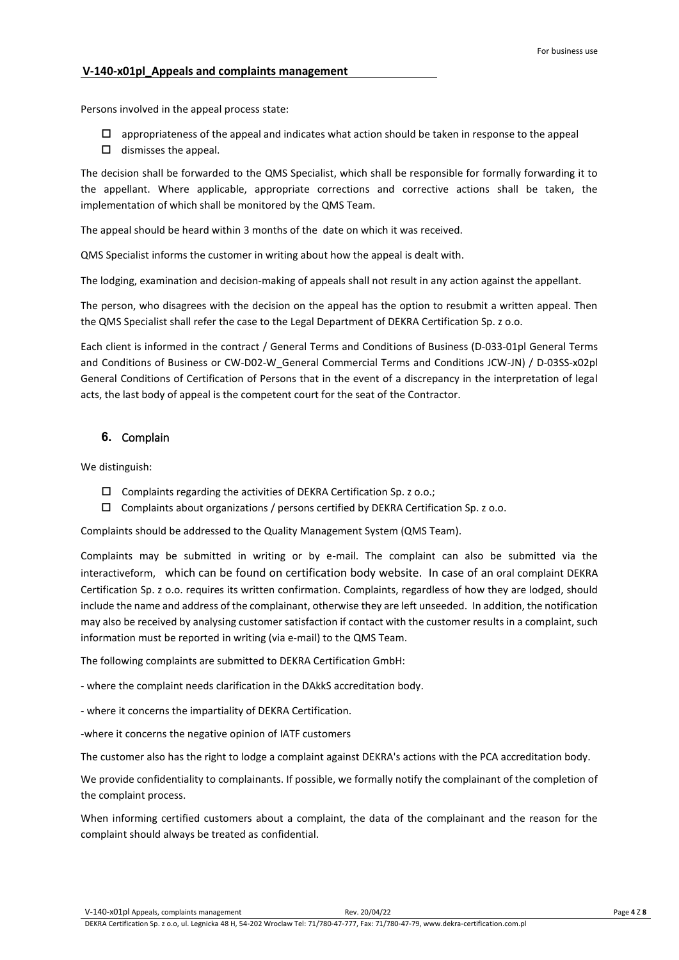Persons involved in the appeal process state:

- $\Box$  appropriateness of the appeal and indicates what action should be taken in response to the appeal
- $\Box$  dismisses the appeal.

The decision shall be forwarded to the QMS Specialist, which shall be responsible for formally forwarding it to the appellant. Where applicable, appropriate corrections and corrective actions shall be taken, the implementation of which shall be monitored by the QMS Team.

The appeal should be heard within 3 months of the date on which it was received.

QMS Specialist informs the customer in writing about how the appeal is dealt with.

The lodging, examination and decision-making of appeals shall not result in any action against the appellant.

The person, who disagrees with the decision on the appeal has the option to resubmit a written appeal. Then the QMS Specialist shall refer the case to the Legal Department of DEKRA Certification Sp. z o.o.

Each client is informed in the contract / General Terms and Conditions of Business (D-033-01pl General Terms and Conditions of Business or CW-D02-W\_General Commercial Terms and Conditions JCW-JN) / D-03SS-x02pl General Conditions of Certification of Persons that in the event of a discrepancy in the interpretation of legal acts, the last body of appeal is the competent court for the seat of the Contractor.

### <span id="page-3-0"></span>**6.** Complain

We distinguish:

- $\square$  Complaints regarding the activities of DEKRA Certification Sp. z o.o.;
- $\Box$  Complaints about organizations / persons certified by DEKRA Certification Sp. z o.o.

Complaints should be addressed to the Quality Management System (QMS Team).

Complaints may be submitted in writing or by e-mail. The complaint can also be submitted via the interactiveform, which can be found on certification body website. In case of an oral complaint DEKRA Certification Sp. z o.o. requires its written confirmation. Complaints, regardless of how they are lodged, should include the name and address of the complainant, otherwise they are left unseeded. In addition, the notification may also be received by analysing customer satisfaction if contact with the customer results in a complaint, such information must be reported in writing (via e-mail) to the QMS Team.

The following complaints are submitted to DEKRA Certification GmbH:

- where the complaint needs clarification in the DAkkS accreditation body.

- where it concerns the impartiality of DEKRA Certification.

-where it concerns the negative opinion of IATF customers

The customer also has the right to lodge a complaint against DEKRA's actions with the PCA accreditation body.

We provide confidentiality to complainants. If possible, we formally notify the complainant of the completion of the complaint process.

When informing certified customers about a complaint, the data of the complainant and the reason for the complaint should always be treated as confidential.

V-140-x01pl Appeals, complaints management Rev. 20/04/22 **Page 4** Z **8** Page 4 Z **8** 

DEKRA Certification Sp. z o.o, ul. Legnicka 48 H, 54-202 Wroclaw Tel: 71/780-47-777, Fax: 71/780-47-79, www.dekra-certification.com.pl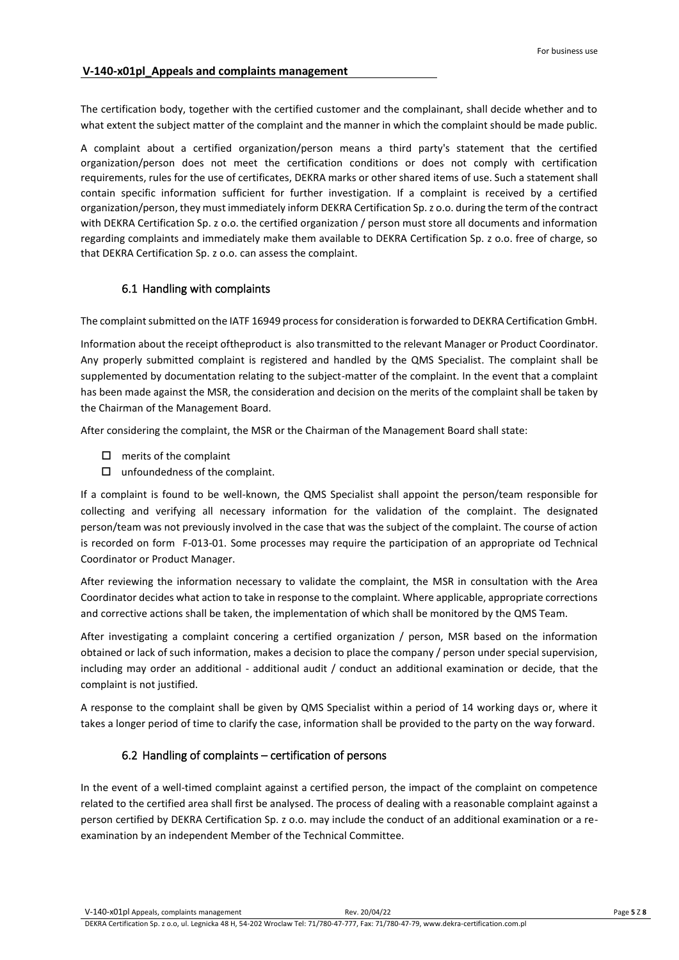The certification body, together with the certified customer and the complainant, shall decide whether and to what extent the subject matter of the complaint and the manner in which the complaint should be made public.

A complaint about a certified organization/person means a third party's statement that the certified organization/person does not meet the certification conditions or does not comply with certification requirements, rules for the use of certificates, DEKRA marks or other shared items of use. Such a statement shall contain specific information sufficient for further investigation. If a complaint is received by a certified organization/person, they must immediately inform DEKRA Certification Sp. z o.o. during the term of the contract with DEKRA Certification Sp. z o.o. the certified organization / person must store all documents and information regarding complaints and immediately make them available to DEKRA Certification Sp. z o.o. free of charge, so that DEKRA Certification Sp. z o.o. can assess the complaint.

### 6.1 Handling with complaints

<span id="page-4-0"></span>The complaint submitted on the IATF 16949 process for consideration is forwarded to DEKRA Certification GmbH.

Information about the receipt oftheproduct is also transmitted to the relevant Manager or Product Coordinator. Any properly submitted complaint is registered and handled by the QMS Specialist. The complaint shall be supplemented by documentation relating to the subject-matter of the complaint. In the event that a complaint has been made against the MSR, the consideration and decision on the merits of the complaint shall be taken by the Chairman of the Management Board.

After considering the complaint, the MSR or the Chairman of the Management Board shall state:

- $\Box$  merits of the complaint
- $\Box$  unfoundedness of the complaint.

If a complaint is found to be well-known, the QMS Specialist shall appoint the person/team responsible for collecting and verifying all necessary information for the validation of the complaint. The designated person/team was not previously involved in the case that was the subject of the complaint. The course of action is recorded on form F-013-01. Some processes may require the participation of an appropriate od Technical Coordinator or Product Manager.

After reviewing the information necessary to validate the complaint, the MSR in consultation with the Area Coordinator decides what action to take in response to the complaint. Where applicable, appropriate corrections and corrective actions shall be taken, the implementation of which shall be monitored by the QMS Team.

After investigating a complaint concering a certified organization / person, MSR based on the information obtained or lack of such information, makes a decision to place the company / person under special supervision, including may order an additional - additional audit / conduct an additional examination or decide, that the complaint is not justified.

A response to the complaint shall be given by QMS Specialist within a period of 14 working days or, where it takes a longer period of time to clarify the case, information shall be provided to the party on the way forward.

### 6.2 Handling of complaints – certification of persons

<span id="page-4-1"></span>In the event of a well-timed complaint against a certified person, the impact of the complaint on competence related to the certified area shall first be analysed. The process of dealing with a reasonable complaint against a person certified by DEKRA Certification Sp. z o.o. may include the conduct of an additional examination or a reexamination by an independent Member of the Technical Committee.

V-140-x01pl Appeals, complaints management Rev. 20/04/22 Page **5** Z **8**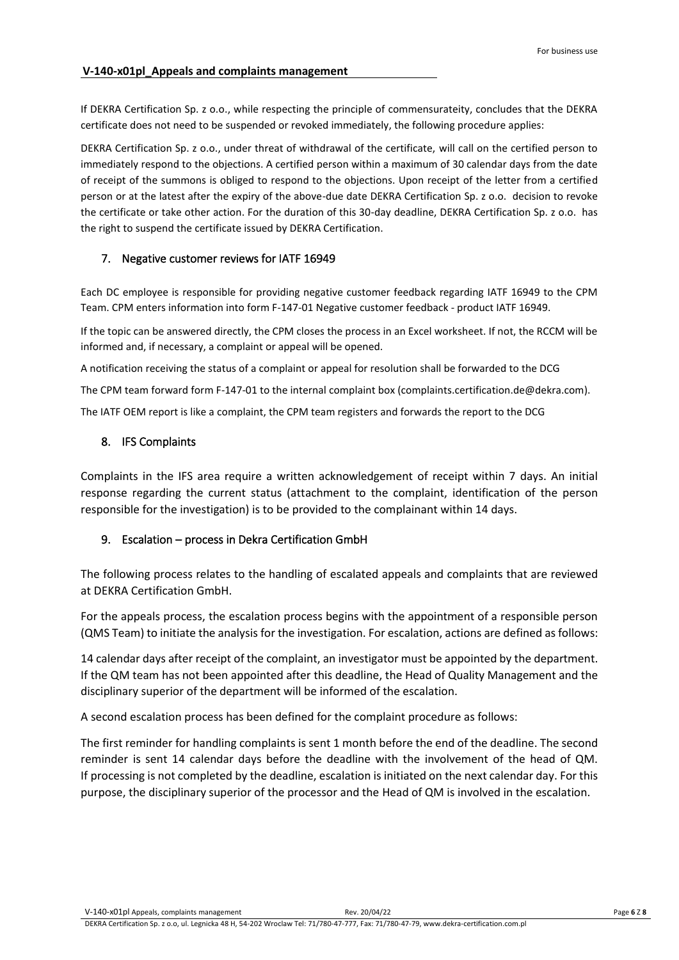If DEKRA Certification Sp. z o.o., while respecting the principle of commensurateity, concludes that the DEKRA certificate does not need to be suspended or revoked immediately, the following procedure applies:

DEKRA Certification Sp. z o.o., under threat of withdrawal of the certificate, will call on the certified person to immediately respond to the objections. A certified person within a maximum of 30 calendar days from the date of receipt of the summons is obliged to respond to the objections. Upon receipt of the letter from a certified person or at the latest after the expiry of the above-due date DEKRA Certification Sp. z o.o. decision to revoke the certificate or take other action. For the duration of this 30-day deadline, DEKRA Certification Sp. z o.o. has the right to suspend the certificate issued by DEKRA Certification.

# <span id="page-5-0"></span>7. Negative customer reviews for IATF 16949

Each DC employee is responsible for providing negative customer feedback regarding IATF 16949 to the CPM Team. CPM enters information into form F-147-01 Negative customer feedback - product IATF 16949.

If the topic can be answered directly, the CPM closes the process in an Excel worksheet. If not, the RCCM will be informed and, if necessary, a complaint or appeal will be opened.

A notification receiving the status of a complaint or appeal for resolution shall be forwarded to the DCG

The CPM team forward form F-147-01 to the internal complaint box (complaints.certification.de@dekra.com).

<span id="page-5-1"></span>The IATF OEM report is like a complaint, the CPM team registers and forwards the report to the DCG

## 8. IFS Complaints

Complaints in the IFS area require a written acknowledgement of receipt within 7 days. An initial response regarding the current status (attachment to the complaint, identification of the person responsible for the investigation) is to be provided to the complainant within 14 days.

### <span id="page-5-2"></span>9. Escalation – process in Dekra Certification GmbH

The following process relates to the handling of escalated appeals and complaints that are reviewed at DEKRA Certification GmbH.

For the appeals process, the escalation process begins with the appointment of a responsible person (QMS Team) to initiate the analysis for the investigation. For escalation, actions are defined as follows:

14 calendar days after receipt of the complaint, an investigator must be appointed by the department. If the QM team has not been appointed after this deadline, the Head of Quality Management and the disciplinary superior of the department will be informed of the escalation.

A second escalation process has been defined for the complaint procedure as follows:

The first reminder for handling complaints is sent 1 month before the end of the deadline. The second reminder is sent 14 calendar days before the deadline with the involvement of the head of QM. If processing is not completed by the deadline, escalation is initiated on the next calendar day. For this purpose, the disciplinary superior of the processor and the Head of QM is involved in the escalation.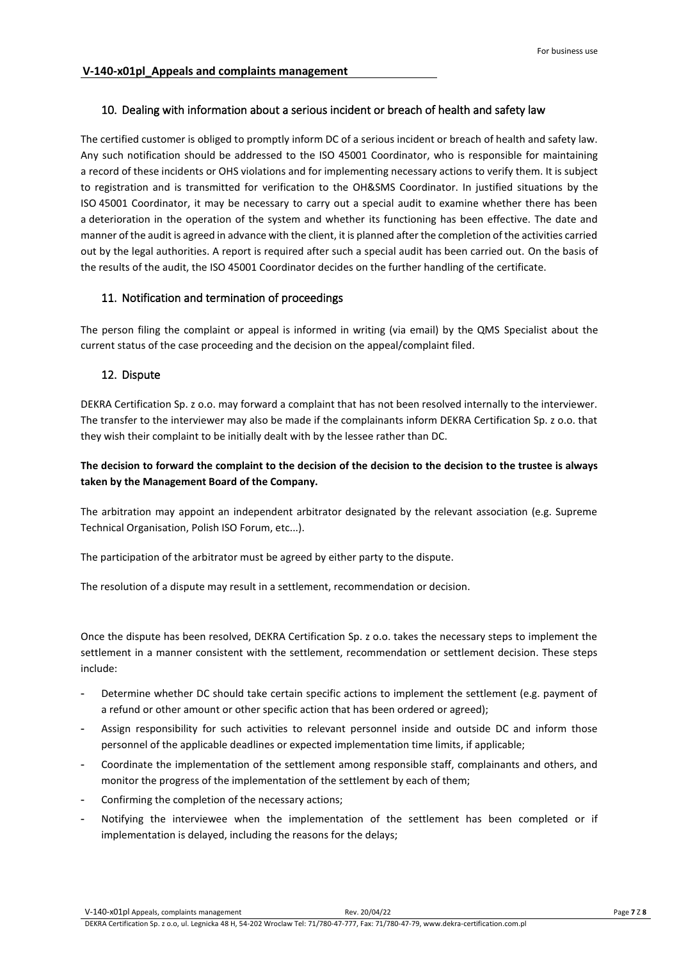#### <span id="page-6-0"></span>10. Dealing with information about a serious incident or breach of health and safety law

The certified customer is obliged to promptly inform DC of a serious incident or breach of health and safety law. Any such notification should be addressed to the ISO 45001 Coordinator, who is responsible for maintaining a record of these incidents or OHS violations and for implementing necessary actions to verify them. It is subject to registration and is transmitted for verification to the OH&SMS Coordinator. In justified situations by the ISO 45001 Coordinator, it may be necessary to carry out a special audit to examine whether there has been a deterioration in the operation of the system and whether its functioning has been effective. The date and manner of the audit is agreed in advance with the client, it is planned after the completion of the activities carried out by the legal authorities. A report is required after such a special audit has been carried out. On the basis of the results of the audit, the ISO 45001 Coordinator decides on the further handling of the certificate.

### <span id="page-6-1"></span>11. Notification and termination of proceedings

The person filing the complaint or appeal is informed in writing (via email) by the QMS Specialist about the current status of the case proceeding and the decision on the appeal/complaint filed.

### <span id="page-6-2"></span>12. Dispute

DEKRA Certification Sp. z o.o. may forward a complaint that has not been resolved internally to the interviewer. The transfer to the interviewer may also be made if the complainants inform DEKRA Certification Sp. z o.o. that they wish their complaint to be initially dealt with by the lessee rather than DC.

# **The decision to forward the complaint to the decision of the decision to the decision to the trustee is always taken by the Management Board of the Company.**

The arbitration may appoint an independent arbitrator designated by the relevant association (e.g. Supreme Technical Organisation, Polish ISO Forum, etc...).

The participation of the arbitrator must be agreed by either party to the dispute.

The resolution of a dispute may result in a settlement, recommendation or decision.

Once the dispute has been resolved, DEKRA Certification Sp. z o.o. takes the necessary steps to implement the settlement in a manner consistent with the settlement, recommendation or settlement decision. These steps include:

- Determine whether DC should take certain specific actions to implement the settlement (e.g. payment of a refund or other amount or other specific action that has been ordered or agreed);
- Assign responsibility for such activities to relevant personnel inside and outside DC and inform those personnel of the applicable deadlines or expected implementation time limits, if applicable;
- Coordinate the implementation of the settlement among responsible staff, complainants and others, and monitor the progress of the implementation of the settlement by each of them;
- Confirming the completion of the necessary actions;
- Notifying the interviewee when the implementation of the settlement has been completed or if implementation is delayed, including the reasons for the delays;